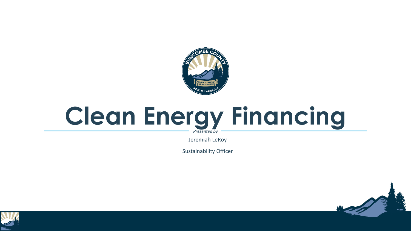

### **Clean Energy Financing** *Presented by*

Jeremiah LeRoy

Sustainability Officer



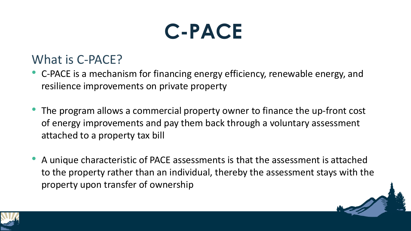### **C-PACE**

### What is C-PACE?

- C-PACE is a mechanism for financing energy efficiency, renewable energy, and resilience improvements on private property
- The program allows a commercial property owner to finance the up-front cost of energy improvements and pay them back through a voluntary assessment attached to a property tax bill
- A unique characteristic of PACE assessments is that the assessment is attached to the property rather than an individual, thereby the assessment stays with the property upon transfer of ownership

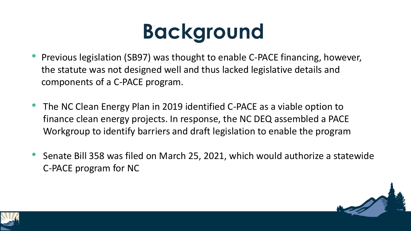# **Background**

- Previous legislation (SB97) was thought to enable C-PACE financing, however, the statute was not designed well and thus lacked legislative details and components of a C-PACE program.
- The NC Clean Energy Plan in 2019 identified C-PACE as a viable option to finance clean energy projects. In response, the NC DEQ assembled a PACE Workgroup to identify barriers and draft legislation to enable the program
- Senate Bill 358 was filed on March 25, 2021, which would authorize a statewide C-PACE program for NC



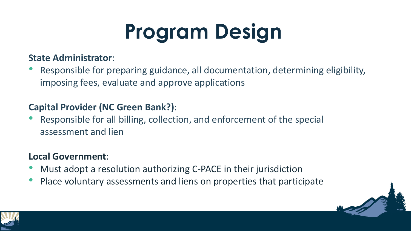# **Program Design**

#### **State Administrator**:

• Responsible for preparing guidance, all documentation, determining eligibility, imposing fees, evaluate and approve applications

#### **Capital Provider (NC Green Bank?)**:

• Responsible for all billing, collection, and enforcement of the special assessment and lien

#### **Local Government**:

- Must adopt a resolution authorizing C-PACE in their jurisdiction
- Place voluntary assessments and liens on properties that participate



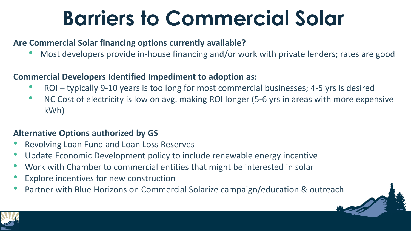## **Barriers to Commercial Solar**

#### **Are Commercial Solar financing options currently available?**

• Most developers provide in-house financing and/or work with private lenders; rates are good

#### **Commercial Developers Identified Impediment to adoption as:**

- ROI typically 9-10 years is too long for most commercial businesses; 4-5 yrs is desired
- NC Cost of electricity is low on avg. making ROI longer (5-6 yrs in areas with more expensive kWh)

#### **Alternative Options authorized by GS**

- Revolving Loan Fund and Loan Loss Reserves
- Update Economic Development policy to include renewable energy incentive
- Work with Chamber to commercial entities that might be interested in solar
- Explore incentives for new construction
- Partner with Blue Horizons on Commercial Solarize campaign/education & outreach

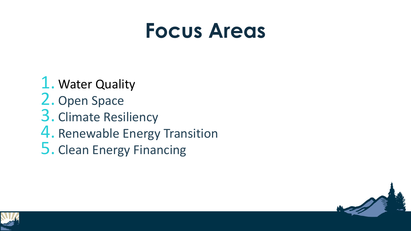### **Focus Areas**

1. Water Quality 2. Open Space 3. Climate Resiliency 4. Renewable Energy Transition 5. Clean Energy Financing